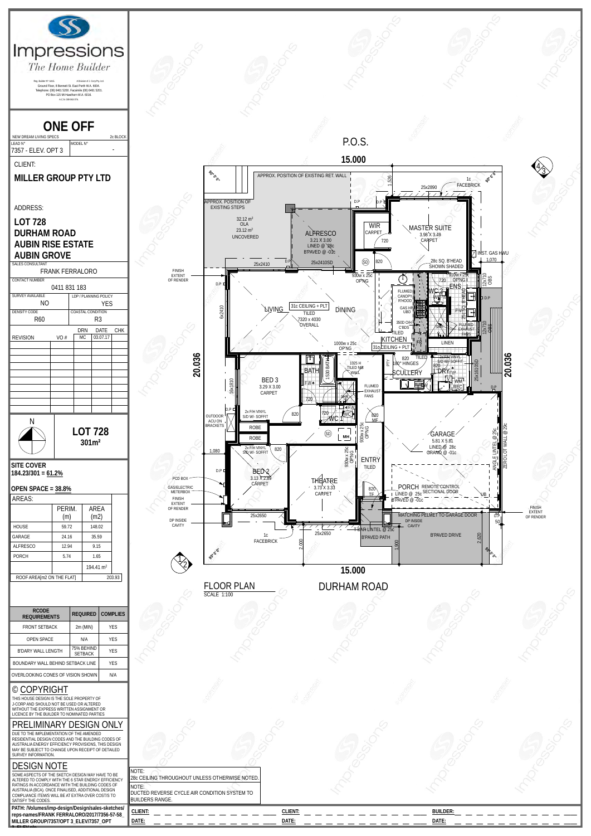

|                                                                                                                                                                                                   | $2111$ (IVIIIV)              | ∣∟∪        |  |
|---------------------------------------------------------------------------------------------------------------------------------------------------------------------------------------------------|------------------------------|------------|--|
| <b>OPEN SPACE</b>                                                                                                                                                                                 | N/A                          | <b>YES</b> |  |
| B'DARY WALL LENGTH                                                                                                                                                                                | 75% BEHIND<br><b>SETBACK</b> | <b>YES</b> |  |
| BOUNDARY WALL BEHIND SETBACK LINE                                                                                                                                                                 | <b>YES</b>                   |            |  |
| OVERLOOKING CONES OF VISION SHOWN                                                                                                                                                                 | N/A                          |            |  |
| © COPYRIGHT<br>THIS HOUSE DESIGN IS THE SOLE PROPERTY OF<br>J-CORP AND SHOULD NOT BE USED OR ALTERED.<br>WITHOUT THE EXPRESS WRITTEN ASSIGNMENT OR<br>LICENCE BY THE BUILDER TO NOMINATED PARTIES |                              |            |  |
| PRELIMINARY DESIGN ONLY                                                                                                                                                                           |                              |            |  |
| DUE TO THE IMPI EMENTATION OF THE AMENDED                                                                                                                                                         |                              |            |  |

## DESIGN NOTE

| <b>SETBACK</b>                                                                                                                                                                                                                                                                                                     |                                                                                                                                                   |                  |                          |  |
|--------------------------------------------------------------------------------------------------------------------------------------------------------------------------------------------------------------------------------------------------------------------------------------------------------------------|---------------------------------------------------------------------------------------------------------------------------------------------------|------------------|--------------------------|--|
| <b>YES</b><br>BOUNDARY WALL BEHIND SETBACK LINE                                                                                                                                                                                                                                                                    |                                                                                                                                                   |                  |                          |  |
| N/A<br>OVERLOOKING CONES OF VISION SHOWN                                                                                                                                                                                                                                                                           |                                                                                                                                                   |                  |                          |  |
| $\circ$ COPYRIGHT<br>THIS HOUSE DESIGN IS THE SOLE PROPERTY OF<br>J-CORP AND SHOULD NOT BE USED OR ALTERED<br>WITHOUT THE EXPRESS WRITTEN ASSIGNMENT OR<br>LICENCE BY THE BUILDER TO NOMINATED PARTIES                                                                                                             |                                                                                                                                                   |                  |                          |  |
| PRELIMINARY DESIGN ONLY<br>DUE TO THE IMPLEMENTATION OF THE AMENDED<br>RESIDENTIAL DESIGN CODES AND THE BUILDING CODES OF<br>AUSTRALIA ENERGY EFFICIENCY PROVISIONS, THIS DESIGN<br>MAY BE SUBJECT TO CHANGE UPON RECEIPT OF DETAILED<br>SURVEY INFORMATION.                                                       |                                                                                                                                                   |                  |                          |  |
| <b>DESIGN NOTE</b><br>SOME ASPECTS OF THE SKETCH DESIGN MAY HAVE TO BE<br>ALTERED TO COMPLY WITH THE 6 STAR ENERGY EFFICIENCY<br>RATINGS IN ACCORDANCE WITH THE BUILDING CODES OF<br>AUSTRALIA (BCA). ONCE FINALISED, ADDITIONAL DESIGN<br>COMPLIANCE ITEM/S WILL BE AT EXTRA OVER COST/S TO<br>SATISFY THE CODES. | <b>NOTE:</b><br>28c CEILING THROUGHOUT UNLESS OTHERWISE NOTED.<br>NOTE:<br>DUCTED REVERSE CYCLE AIR CONDITION SYSTEM TO<br><b>BUILDERS RANGE.</b> |                  |                          |  |
| PATH: /Volumes/imp-design/Design/sales-sketches/<br>reps-names/FRANK FERRALORO/2017/7356-57-58_<br>MILLER GROUP/7357/OPT 3_ELEV/7357_OPT                                                                                                                                                                           | CLIENT:<br>DATE:                                                                                                                                  | CLIENT:<br>DATE: | <b>BUILDER:</b><br>DATE: |  |
|                                                                                                                                                                                                                                                                                                                    |                                                                                                                                                   |                  |                          |  |